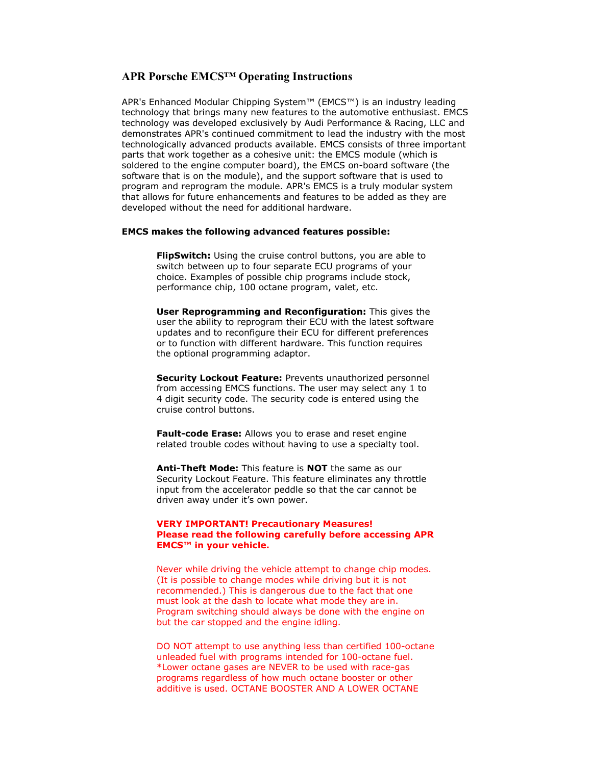# **APR Porsche EMCS™ Operating Instructions**

APR's Enhanced Modular Chipping System™ (EMCS™) is an industry leading technology that brings many new features to the automotive enthusiast. EMCS technology was developed exclusively by Audi Performance & Racing, LLC and demonstrates APR's continued commitment to lead the industry with the most technologically advanced products available. EMCS consists of three important parts that work together as a cohesive unit: the EMCS module (which is soldered to the engine computer board), the EMCS on-board software (the software that is on the module), and the support software that is used to program and reprogram the module. APR's EMCS is a truly modular system that allows for future enhancements and features to be added as they are developed without the need for additional hardware.

#### **EMCS makes the following advanced features possible:**

**FlipSwitch:** Using the cruise control buttons, you are able to switch between up to four separate ECU programs of your choice. Examples of possible chip programs include stock, performance chip, 100 octane program, valet, etc.

**User Reprogramming and Reconfiguration:** This gives the user the ability to reprogram their ECU with the latest software updates and to reconfigure their ECU for different preferences or to function with different hardware. This function requires the optional programming adaptor.

**Security Lockout Feature:** Prevents unauthorized personnel from accessing EMCS functions. The user may select any 1 to 4 digit security code. The security code is entered using the cruise control buttons.

**Fault-code Erase:** Allows you to erase and reset engine related trouble codes without having to use a specialty tool.

**Anti-Theft Mode:** This feature is **NOT** the same as our Security Lockout Feature. This feature eliminates any throttle input from the accelerator peddle so that the car cannot be driven away under it's own power.

### **VERY IMPORTANT! Precautionary Measures! Please read the following carefully before accessing APR EMCS™ in your vehicle.**

Never while driving the vehicle attempt to change chip modes. (It is possible to change modes while driving but it is not recommended.) This is dangerous due to the fact that one must look at the dash to locate what mode they are in. Program switching should always be done with the engine on but the car stopped and the engine idling.

DO NOT attempt to use anything less than certified 100-octane unleaded fuel with programs intended for 100-octane fuel. \*Lower octane gases are NEVER to be used with race-gas programs regardless of how much octane booster or other additive is used. OCTANE BOOSTER AND A LOWER OCTANE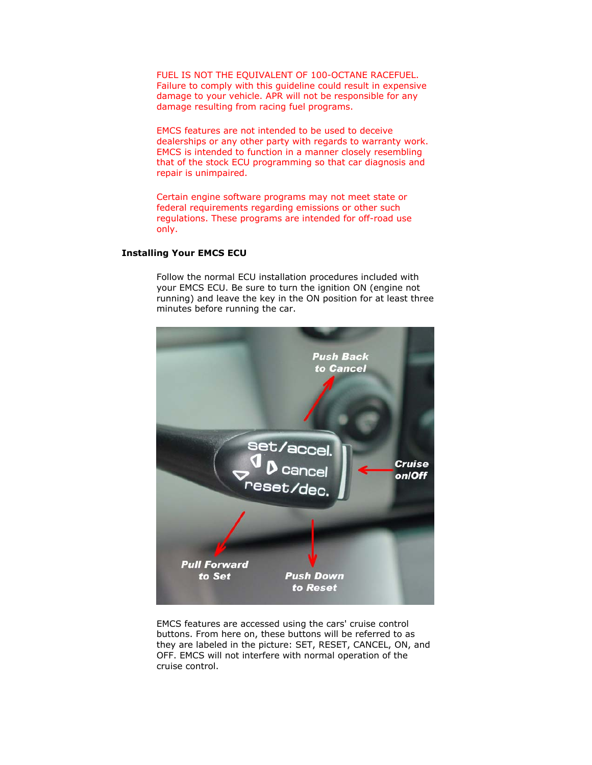FUEL IS NOT THE EQUIVALENT OF 100-OCTANE RACEFUEL. Failure to comply with this guideline could result in expensive damage to your vehicle. APR will not be responsible for any damage resulting from racing fuel programs.

EMCS features are not intended to be used to deceive dealerships or any other party with regards to warranty work. EMCS is intended to function in a manner closely resembling that of the stock ECU programming so that car diagnosis and repair is unimpaired.

Certain engine software programs may not meet state or federal requirements regarding emissions or other such regulations. These programs are intended for off-road use only.

# **Installing Your EMCS ECU**

Follow the normal ECU installation procedures included with your EMCS ECU. Be sure to turn the ignition ON (engine not running) and leave the key in the ON position for at least three minutes before running the car.



EMCS features are accessed using the cars' cruise control buttons. From here on, these buttons will be referred to as they are labeled in the picture: SET, RESET, CANCEL, ON, and OFF. EMCS will not interfere with normal operation of the cruise control.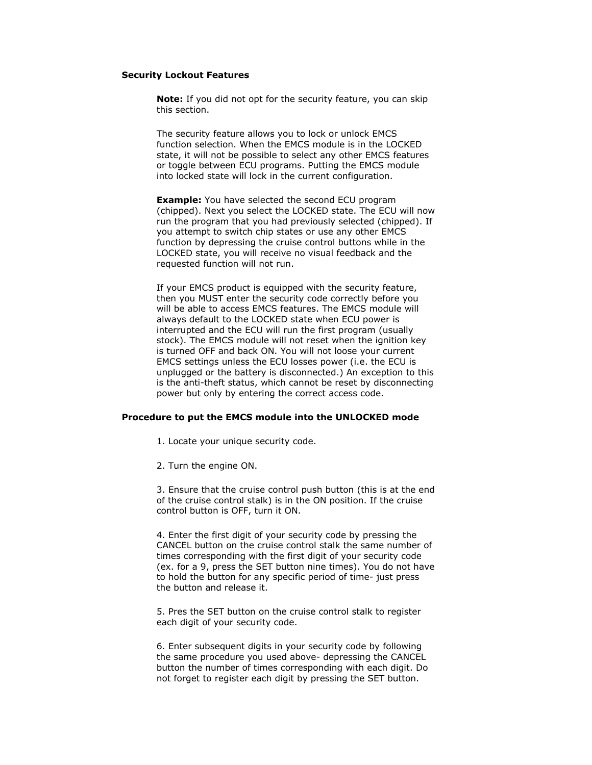### **Security Lockout Features**

**Note:** If you did not opt for the security feature, you can skip this section.

The security feature allows you to lock or unlock EMCS function selection. When the EMCS module is in the LOCKED state, it will not be possible to select any other EMCS features or toggle between ECU programs. Putting the EMCS module into locked state will lock in the current configuration.

**Example:** You have selected the second ECU program (chipped). Next you select the LOCKED state. The ECU will now run the program that you had previously selected (chipped). If you attempt to switch chip states or use any other EMCS function by depressing the cruise control buttons while in the LOCKED state, you will receive no visual feedback and the requested function will not run.

If your EMCS product is equipped with the security feature, then you MUST enter the security code correctly before you will be able to access EMCS features. The EMCS module will always default to the LOCKED state when ECU power is interrupted and the ECU will run the first program (usually stock). The EMCS module will not reset when the ignition key is turned OFF and back ON. You will not loose your current EMCS settings unless the ECU losses power (i.e. the ECU is unplugged or the battery is disconnected.) An exception to this is the anti-theft status, which cannot be reset by disconnecting power but only by entering the correct access code.

### **Procedure to put the EMCS module into the UNLOCKED mode**

1. Locate your unique security code.

2. Turn the engine ON.

3. Ensure that the cruise control push button (this is at the end of the cruise control stalk) is in the ON position. If the cruise control button is OFF, turn it ON.

4. Enter the first digit of your security code by pressing the CANCEL button on the cruise control stalk the same number of times corresponding with the first digit of your security code (ex. for a 9, press the SET button nine times). You do not have to hold the button for any specific period of time- just press the button and release it.

5. Pres the SET button on the cruise control stalk to register each digit of your security code.

6. Enter subsequent digits in your security code by following the same procedure you used above- depressing the CANCEL button the number of times corresponding with each digit. Do not forget to register each digit by pressing the SET button.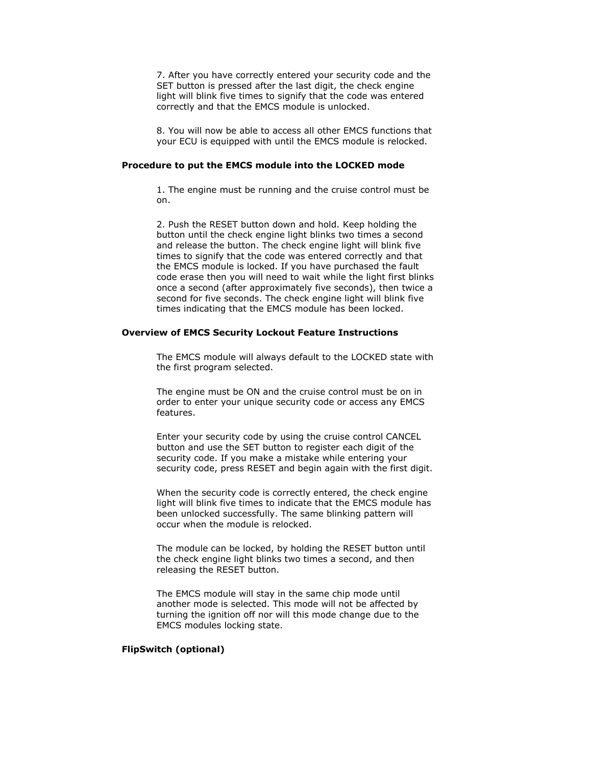7. After you have correctly entered your security code and the SET button is pressed after the last digit, the check engine light will blink five times to signify that the code was entered correctly and that the EMCS module is unlocked.

8. You will now be able to access all other EMCS functions that your ECU is equipped with until the EMCS module is relocked.

### **Procedure to put the EMCS module into the LOCKED mode**

1. The engine must be running and the cruise control must be on.

2. Push the RESET button down and hold. Keep holding the button until the check engine light blinks two times a second and release the button. The check engine light will blink five times to signify that the code was entered correctly and that the EMCS module is locked. If you have purchased the fault code erase then you will need to wait while the light first blinks once a second (after approximately five seconds), then twice a second for five seconds. The check engine light will blink five times indicating that the EMCS module has been locked.

#### **Overview of EMCS Security Lockout Feature Instructions**

The EMCS module will always default to the LOCKED state with the first program selected.

The engine must be ON and the cruise control must be on in order to enter your unique security code or access any EMCS features.

Enter your security code by using the cruise control CANCEL button and use the SET button to register each digit of the security code. If you make a mistake while entering your security code, press RESET and begin again with the first digit.

When the security code is correctly entered, the check engine light will blink five times to indicate that the EMCS module has been unlocked successfully. The same blinking pattern will occur when the module is relocked.

The module can be locked, by holding the RESET button until the check engine light blinks two times a second, and then releasing the RESET button.

The EMCS module will stay in the same chip mode until another mode is selected. This mode will not be affected by turning the ignition off nor will this mode change due to the EMCS modules locking state.

# **FlipSwitch (optional)**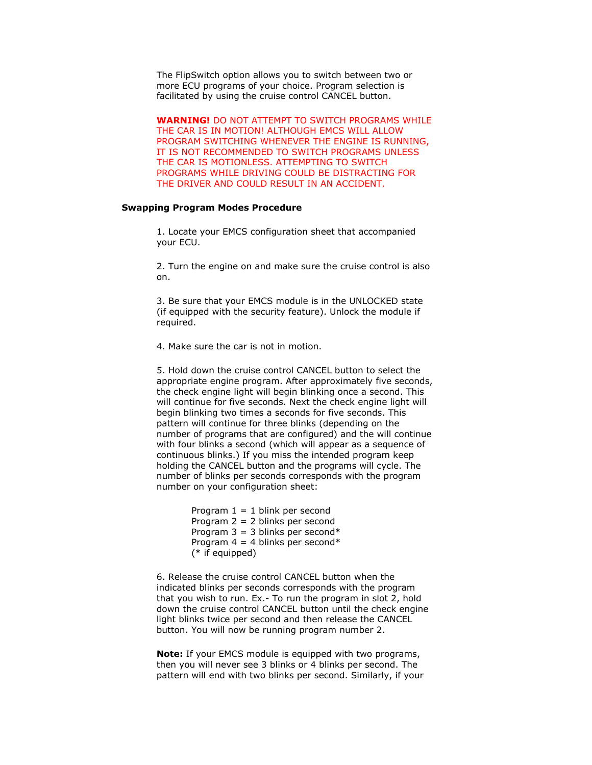The FlipSwitch option allows you to switch between two or more ECU programs of your choice. Program selection is facilitated by using the cruise control CANCEL button.

**WARNING!** DO NOT ATTEMPT TO SWITCH PROGRAMS WHILE THE CAR IS IN MOTION! ALTHOUGH EMCS WILL ALLOW PROGRAM SWITCHING WHENEVER THE ENGINE IS RUNNING, IT IS NOT RECOMMENDED TO SWITCH PROGRAMS UNLESS THE CAR IS MOTIONLESS. ATTEMPTING TO SWITCH PROGRAMS WHILE DRIVING COULD BE DISTRACTING FOR THE DRIVER AND COULD RESULT IN AN ACCIDENT.

## **Swapping Program Modes Procedure**

1. Locate your EMCS configuration sheet that accompanied your ECU.

2. Turn the engine on and make sure the cruise control is also on.

3. Be sure that your EMCS module is in the UNLOCKED state (if equipped with the security feature). Unlock the module if required.

4. Make sure the car is not in motion.

5. Hold down the cruise control CANCEL button to select the appropriate engine program. After approximately five seconds, the check engine light will begin blinking once a second. This will continue for five seconds. Next the check engine light will begin blinking two times a seconds for five seconds. This pattern will continue for three blinks (depending on the number of programs that are configured) and the will continue with four blinks a second (which will appear as a sequence of continuous blinks.) If you miss the intended program keep holding the CANCEL button and the programs will cycle. The number of blinks per seconds corresponds with the program number on your configuration sheet:

> Program  $1 = 1$  blink per second Program 2 = 2 blinks per second Program  $3 = 3$  blinks per second\* Program  $4 = 4$  blinks per second\* (\* if equipped)

6. Release the cruise control CANCEL button when the indicated blinks per seconds corresponds with the program that you wish to run. Ex.- To run the program in slot 2, hold down the cruise control CANCEL button until the check engine light blinks twice per second and then release the CANCEL button. You will now be running program number 2.

**Note:** If your EMCS module is equipped with two programs, then you will never see 3 blinks or 4 blinks per second. The pattern will end with two blinks per second. Similarly, if your